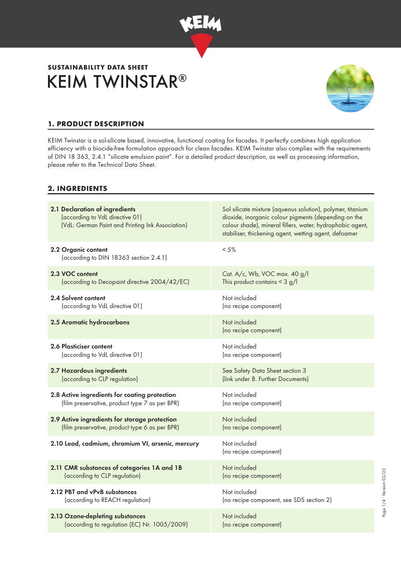

# KEIM TWINSTAR® **SUSTAINABILITY DATA SHEET**



## **1. PRODUCT DESCRIPTION**

KEIM Twinstar is a sol-silicate based, innovative, functional coating for facades. It perfectly combines high application efficiency with a biocide-free formulation approach for clean facades. KEIM Twinstar also complies with the requirements of DIN 18 363, 2.4.1 "silicate emulsion paint". For a detailed product description, as well as processing information, please refer to the Technical Data Sheet.

#### **2. INGREDIENTS**

| 2.1 Declaration of ingredients<br>(according to VdL directive 01)<br>(VdL: German Paint and Printing Ink Association) | Sol silicate mixture (aqueous solution), polymer, titanium<br>dioxide, inorganic colour pigments (depending on the<br>colour shade), mineral fillers, water, hydrophobic agent,<br>stabiliser, thickening agent, wetting agent, defoamer |
|-----------------------------------------------------------------------------------------------------------------------|------------------------------------------------------------------------------------------------------------------------------------------------------------------------------------------------------------------------------------------|
| 2.2 Organic content<br>(according to DIN 18363 section 2.4.1)                                                         | $< 5\%$                                                                                                                                                                                                                                  |
| 2.3 VOC content                                                                                                       | Cat. A/c, Wb, VOC max. 40 g/l                                                                                                                                                                                                            |
| (according to Decopaint directive 2004/42/EC)                                                                         | This product contains $<$ 3 g/l                                                                                                                                                                                                          |
| 2.4 Solvent content                                                                                                   | Not included                                                                                                                                                                                                                             |
| (according to VdL directive 01)                                                                                       | (no recipe component)                                                                                                                                                                                                                    |
| 2.5 Aromatic hydrocarbons                                                                                             | Not included<br>(no recipe component)                                                                                                                                                                                                    |
| 2.6 Plasticiser content                                                                                               | Not included                                                                                                                                                                                                                             |
| (according to VdL directive 01)                                                                                       | (no recipe component)                                                                                                                                                                                                                    |
| 2.7 Hazardous ingredients                                                                                             | See Safety Data Sheet section 3                                                                                                                                                                                                          |
| (according to CLP regulation)                                                                                         | (link under 8. Further Documents)                                                                                                                                                                                                        |
| 2.8 Active ingredients for coating protection                                                                         | Not included                                                                                                                                                                                                                             |
| (film preservative, product type 7 as per BPR)                                                                        | (no recipe component)                                                                                                                                                                                                                    |
| 2.9 Active ingredients for storage protection                                                                         | Not included                                                                                                                                                                                                                             |
| (film preservative, product type 6 as per BPR)                                                                        | (no recipe component)                                                                                                                                                                                                                    |
| 2.10 Lead, cadmium, chromium VI, arsenic, mercury                                                                     | Not included<br>(no recipe component)                                                                                                                                                                                                    |
| 2.11 CMR substances of categories 1A and 1B                                                                           | Not included                                                                                                                                                                                                                             |
| (according to CLP regulation)                                                                                         | (no recipe component)                                                                                                                                                                                                                    |
| 2.12 PBT and vPvB substances                                                                                          | Not included                                                                                                                                                                                                                             |
| (according to REACH regulation)                                                                                       | (no recipe component, see SDS section 2)                                                                                                                                                                                                 |
| 2.13 Ozone-depleting substances                                                                                       | Not included                                                                                                                                                                                                                             |
| (according to regulation (EC) Nr. 1005/2009)                                                                          | (no recipe component)                                                                                                                                                                                                                    |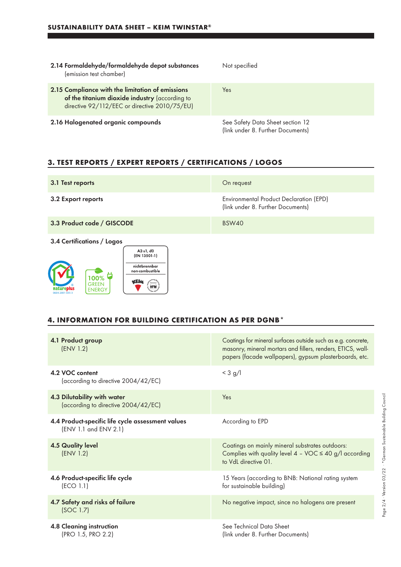| 2.14 Formaldehyde/formaldehyde depot substances<br>(emission test chamber)                                                                          | Not specified                                                         |
|-----------------------------------------------------------------------------------------------------------------------------------------------------|-----------------------------------------------------------------------|
| 2.15 Compliance with the limitation of emissions<br>of the titanium dioxide industry (according to<br>directive 92/112/EEC or directive 2010/75/EU) | Yes                                                                   |
| 2.16 Halogenated organic compounds                                                                                                                  | See Safety Data Sheet section 12<br>(link under 8. Further Documents) |

# **3. TEST REPORTS / EXPERT REPORTS / CERTIFICATIONS / LOGOS**

| 3.1 Test reports                                                                         | On request                                                                   |
|------------------------------------------------------------------------------------------|------------------------------------------------------------------------------|
| 3.2 Export reports                                                                       | Environmental Product Declaration (EPD)<br>(link under 8. Further Documents) |
| 3.3 Product code / GISCODE                                                               | <b>BSW40</b>                                                                 |
| 3.4 Certifications / Logos                                                               |                                                                              |
| A2 s1, d0<br>(EN 13501-1)                                                                |                                                                              |
| nichtbrennbar<br>non-combustible                                                         |                                                                              |
| 100%<br>kElm<br><b>GREEN</b><br><b>HFM</b><br>replus<br><b>ENERGY</b><br>0604-2001-035-3 |                                                                              |

### **4. INFORMATION FOR BUILDING CERTIFICATION AS PER DGNB\***

matureplus

| 4.1 Product group<br>(ENV 1.2)                                             | Coatings for mineral surfaces outside such as e.g. concrete,<br>masonry, mineral mortars and fillers, renders, ETICS, wall-<br>papers (facade wallpapers), gypsum plasterboards, etc. |
|----------------------------------------------------------------------------|---------------------------------------------------------------------------------------------------------------------------------------------------------------------------------------|
| 4.2 VOC content<br>(according to directive 2004/42/EC)                     | $<$ 3 g/l                                                                                                                                                                             |
| 4.3 Dilutability with water<br>(according to directive 2004/42/EC)         | Yes                                                                                                                                                                                   |
| 4.4 Product-specific life cycle assessment values<br>(ENV 1.1 and ENV 2.1) | According to EPD                                                                                                                                                                      |
| <b>4.5 Quality level</b><br>(ENV 1.2)                                      | Coatings on mainly mineral substrates outdoors:<br>Complies with quality level $4 - \sqrt{OC} \le 40$ g/l according<br>to VdL directive 01.                                           |
| 4.6 Product-specific life cycle<br>(ECO 1.1)                               | 15 Years (according to BNB: National rating system<br>for sustainable building)                                                                                                       |
| 4.7 Safety and risks of failure<br>(SOC 1.7)                               | No negative impact, since no halogens are present                                                                                                                                     |
| <b>4.8 Cleaning instruction</b><br>(PRO 1.5, PRO 2.2)                      | See Technical Data Sheet<br>(link under 8. Further Documents)                                                                                                                         |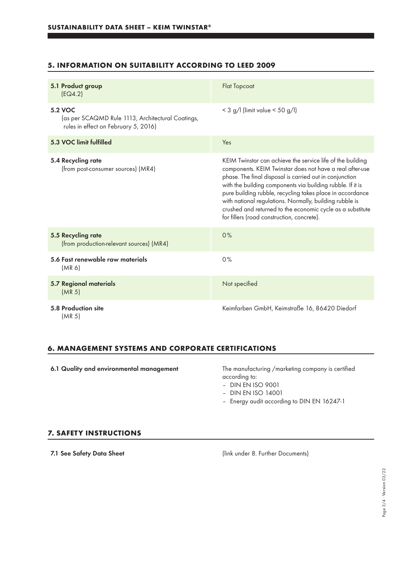## **5. INFORMATION ON SUITABILITY ACCORDING TO LEED 2009**

| 5.1 Product group<br>[EQ4.2]                                                                         | <b>Flat Topcoat</b>                                                                                                                                                                                                                                                                                                                                                                                                                                                                 |
|------------------------------------------------------------------------------------------------------|-------------------------------------------------------------------------------------------------------------------------------------------------------------------------------------------------------------------------------------------------------------------------------------------------------------------------------------------------------------------------------------------------------------------------------------------------------------------------------------|
| 5.2 VOC<br>(as per SCAQMD Rule 1113, Architectural Coatings,<br>rules in effect on February 5, 2016) | $<$ 3 g/l (limit value $<$ 50 g/l)                                                                                                                                                                                                                                                                                                                                                                                                                                                  |
| 5.3 VOC limit fulfilled                                                                              | Yes                                                                                                                                                                                                                                                                                                                                                                                                                                                                                 |
| 5.4 Recycling rate<br>(from post-consumer sources) (MR4)                                             | KEIM Twinstar can achieve the service life of the building<br>components. KEIM Twinstar does not have a real after-use<br>phase. The final disposal is carried out in conjunction<br>with the building components via building rubble. If it is<br>pure building rubble, recycling takes place in accordance<br>with national regulations. Normally, building rubble is<br>crushed and returned to the economic cycle as a substitute<br>for fillers (road construction, concrete). |
| 5.5 Recycling rate<br>(from production-relevant sources) (MR4)                                       | 0%                                                                                                                                                                                                                                                                                                                                                                                                                                                                                  |
| 5.6 Fast renewable raw materials<br>(MR <sub>6</sub> )                                               | 0%                                                                                                                                                                                                                                                                                                                                                                                                                                                                                  |
| <b>5.7 Regional materials</b><br>(MR <sub>5</sub> )                                                  | Not specified                                                                                                                                                                                                                                                                                                                                                                                                                                                                       |
| 5.8 Production site<br>(MR <sub>5</sub> )                                                            | Keimfarben GmbH, Keimstraße 16, 86420 Diedorf                                                                                                                                                                                                                                                                                                                                                                                                                                       |

#### **6. MANAGEMENT SYSTEMS AND CORPORATE CERTIFICATIONS**

6.1 Quality and environmental management The manufacturing /marketing company is certified

according to:

- DIN EN ISO 9001
- DIN EN ISO 14001
- Energy audit according to DIN EN 16247-1

#### **7. SAFETY INSTRUCTIONS**

7.1 See Safety Data Sheet (link under 8. Further Documents)